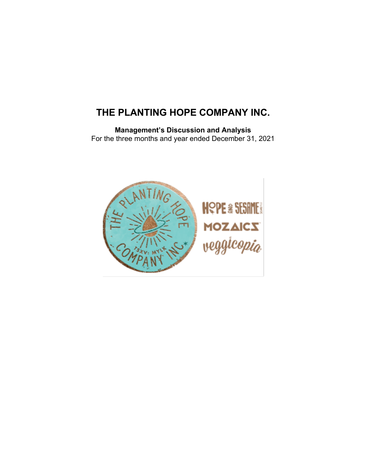# **THE PLANTING HOPE COMPANY INC.**

**Management's Discussion and Analysis** For the three months and year ended December 31, 2021

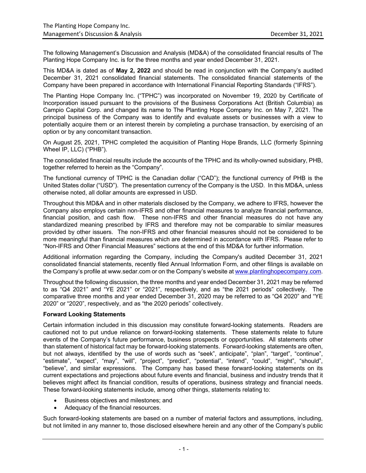The following Management's Discussion and Analysis (MD&A) of the consolidated financial results of The Planting Hope Company Inc. is for the three months and year ended December 31, 2021.

This MD&A is dated as of **May 2, 2022** and should be read in conjunction with the Company's audited December 31, 2021 consolidated financial statements. The consolidated financial statements of the Company have been prepared in accordance with International Financial Reporting Standards ("IFRS").

The Planting Hope Company Inc. ("TPHC") was incorporated on November 19, 2020 by Certificate of Incorporation issued pursuant to the provisions of the Business Corporations Act (British Columbia) as Campio Capital Corp. and changed its name to The Planting Hope Company Inc. on May 7, 2021. The principal business of the Company was to identify and evaluate assets or businesses with a view to potentially acquire them or an interest therein by completing a purchase transaction, by exercising of an option or by any concomitant transaction.

On August 25, 2021, TPHC completed the acquisition of Planting Hope Brands, LLC (formerly Spinning Wheel IP, LLC) ("PHB").

The consolidated financial results include the accounts of the TPHC and its wholly-owned subsidiary, PHB, together referred to herein as the "Company".

The functional currency of TPHC is the Canadian dollar ("CAD"); the functional currency of PHB is the United States dollar ("USD"). The presentation currency of the Company is the USD. In this MD&A, unless otherwise noted, all dollar amounts are expressed in USD.

Throughout this MD&A and in other materials disclosed by the Company, we adhere to IFRS, however the Company also employs certain non-IFRS and other financial measures to analyze financial performance, financial position, and cash flow. These non-IFRS and other financial measures do not have any standardized meaning prescribed by IFRS and therefore may not be comparable to similar measures provided by other issuers. The non-IFRS and other financial measures should not be considered to be more meaningful than financial measures which are determined in accordance with IFRS. Please refer to "Non-IFRS and Other Financial Measures" sections at the end of this MD&A for further information.

Additional information regarding the Company, including the Company's audited December 31, 2021 consolidated financial statements, recently filed Annual Information Form, and other filings is available on the Company's profile at www.sedar.com or on the Company's website at www.plantinghopecompany.com.

Throughout the following discussion, the three months and year ended December 31, 2021 may be referred to as "Q4 2021" and "YE 2021" or "2021", respectively, and as "the 2021 periods" collectively. The comparative three months and year ended December 31, 2020 may be referred to as "Q4 2020" and "YE 2020" or "2020", respectively, and as "the 2020 periods" collectively.

## **Forward Looking Statements**

Certain information included in this discussion may constitute forward-looking statements. Readers are cautioned not to put undue reliance on forward-looking statements. These statements relate to future events of the Company's future performance, business prospects or opportunities. All statements other than statement of historical fact may be forward-looking statements. Forward-looking statements are often, but not always, identified by the use of words such as "seek", anticipate", "plan", "target", "continue", "estimate", "expect", "may", "will", "project", "predict", "potential", "intend", "could", "might", "should", "believe", and similar expressions. The Company has based these forward-looking statements on its current expectations and projections about future events and financial, business and industry trends that it believes might affect its financial condition, results of operations, business strategy and financial needs. These forward-looking statements include, among other things, statements relating to:

- Business objectives and milestones; and
- Adequacy of the financial resources.

Such forward-looking statements are based on a number of material factors and assumptions, including, but not limited in any manner to, those disclosed elsewhere herein and any other of the Company's public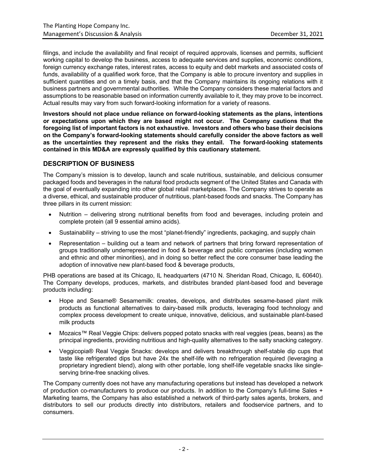filings, and include the availability and final receipt of required approvals, licenses and permits, sufficient working capital to develop the business, access to adequate services and supplies, economic conditions, foreign currency exchange rates, interest rates, access to equity and debt markets and associated costs of funds, availability of a qualified work force, that the Company is able to procure inventory and supplies in sufficient quantities and on a timely basis, and that the Company maintains its ongoing relations with it business partners and governmental authorities. While the Company considers these material factors and assumptions to be reasonable based on information currently available to it, they may prove to be incorrect. Actual results may vary from such forward-looking information for a variety of reasons.

**Investors should not place undue reliance on forward-looking statements as the plans, intentions or expectations upon which they are based might not occur. The Company cautions that the foregoing list of important factors is not exhaustive. Investors and others who base their decisions on the Company's forward-looking statements should carefully consider the above factors as well as the uncertainties they represent and the risks they entail. The forward-looking statements contained in this MD&A are expressly qualified by this cautionary statement.** 

## **DESCRIPTION OF BUSINESS**

The Company's mission is to develop, launch and scale nutritious, sustainable, and delicious consumer packaged foods and beverages in the natural food products segment of the United States and Canada with the goal of eventually expanding into other global retail marketplaces. The Company strives to operate as a diverse, ethical, and sustainable producer of nutritious, plant-based foods and snacks. The Company has three pillars in its current mission:

- Nutrition delivering strong nutritional benefits from food and beverages, including protein and complete protein (all 9 essential amino acids).
- Sustainability striving to use the most "planet-friendly" ingredients, packaging, and supply chain
- Representation building out a team and network of partners that bring forward representation of groups traditionally underrepresented in food & beverage and public companies (including women and ethnic and other minorities), and in doing so better reflect the core consumer base leading the adoption of innovative new plant-based food & beverage products,

PHB operations are based at its Chicago, IL headquarters (4710 N. Sheridan Road, Chicago, IL 60640). The Company develops, produces, markets, and distributes branded plant-based food and beverage products including:

- Hope and Sesame® Sesamemilk: creates, develops, and distributes sesame-based plant milk products as functional alternatives to dairy-based milk products, leveraging food technology and complex process development to create unique, innovative, delicious, and sustainable plant-based milk products
- Mozaics™ Real Veggie Chips: delivers popped potato snacks with real veggies (peas, beans) as the principal ingredients, providing nutritious and high-quality alternatives to the salty snacking category.
- Veggicopia® Real Veggie Snacks: develops and delivers breakthrough shelf-stable dip cups that taste like refrigerated dips but have 24x the shelf-life with no refrigeration required (leveraging a proprietary ingredient blend), along with other portable, long shelf-life vegetable snacks like singleserving brine-free snacking olives.

The Company currently does not have any manufacturing operations but instead has developed a network of production co-manufacturers to produce our products. In addition to the Company's full-time Sales + Marketing teams, the Company has also established a network of third-party sales agents, brokers, and distributors to sell our products directly into distributors, retailers and foodservice partners, and to consumers.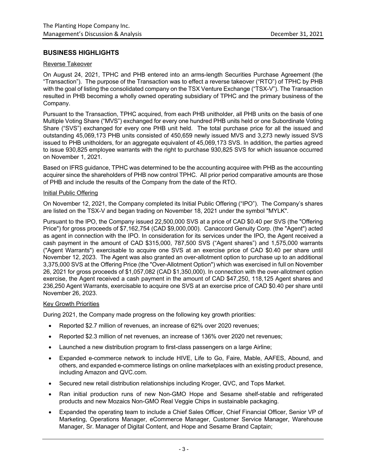## **BUSINESS HIGHLIGHTS**

#### Reverse Takeover

On August 24, 2021, TPHC and PHB entered into an arms-length Securities Purchase Agreement (the "Transaction"). The purpose of the Transaction was to effect a reverse takeover ("RTO") of TPHC by PHB with the goal of listing the consolidated company on the TSX Venture Exchange ("TSX-V"). The Transaction resulted in PHB becoming a wholly owned operating subsidiary of TPHC and the primary business of the Company.

Pursuant to the Transaction, TPHC acquired, from each PHB unitholder, all PHB units on the basis of one Multiple Voting Share ("MVS") exchanged for every one hundred PHB units held or one Subordinate Voting Share ("SVS") exchanged for every one PHB unit held. The total purchase price for all the issued and outstanding 45,069,173 PHB units consisted of 450,659 newly issued MVS and 3,273 newly issued SVS issued to PHB unitholders, for an aggregate equivalent of 45,069,173 SVS. In addition, the parties agreed to issue 930,825 employee warrants with the right to purchase 930,825 SVS for which issuance occurred on November 1, 2021.

Based on IFRS guidance, TPHC was determined to be the accounting acquiree with PHB as the accounting acquirer since the shareholders of PHB now control TPHC. All prior period comparative amounts are those of PHB and include the results of the Company from the date of the RTO.

#### Initial Public Offering

On November 12, 2021, the Company completed its Initial Public Offering ("IPO"). The Company's shares are listed on the TSX-V and began trading on November 18, 2021 under the symbol "MYLK".

Pursuant to the IPO, the Company issued 22,500,000 SVS at a price of CAD \$0.40 per SVS (the "Offering Price") for gross proceeds of \$7,162,754 (CAD \$9,000,000). Canaccord Genuity Corp. (the "Agent") acted as agent in connection with the IPO. In consideration for its services under the IPO, the Agent received a cash payment in the amount of CAD \$315,000, 787,500 SVS ("Agent shares") and 1,575,000 warrants ("Agent Warrants") exercisable to acquire one SVS at an exercise price of CAD \$0.40 per share until November 12, 2023. The Agent was also granted an over-allotment option to purchase up to an additional 3,375,000 SVS at the Offering Price (the "Over-Allotment Option") which was exercised in full on November 26, 2021 for gross proceeds of \$1,057,082 (CAD \$1,350,000). In connection with the over-allotment option exercise, the Agent received a cash payment in the amount of CAD \$47,250, 118,125 Agent shares and 236,250 Agent Warrants, exercisable to acquire one SVS at an exercise price of CAD \$0.40 per share until November 26, 2023.

## Key Growth Priorities

During 2021, the Company made progress on the following key growth priorities:

- Reported \$2.7 million of revenues, an increase of 62% over 2020 revenues;
- Reported \$2.3 million of net revenues, an increase of 136% over 2020 net revenues;
- Launched a new distribution program to first-class passengers on a large Airline;
- Expanded e-commerce network to include HIVE, Life to Go, Faire, Mable, AAFES, Abound, and others, and expanded e-commerce listings on online marketplaces with an existing product presence, including Amazon and QVC.com.
- Secured new retail distribution relationships including Kroger, QVC, and Tops Market.
- Ran initial production runs of new Non-GMO Hope and Sesame shelf-stable and refrigerated products and new Mozaics Non-GMO Real Veggie Chips in sustainable packaging.
- Expanded the operating team to include a Chief Sales Officer, Chief Financial Officer, Senior VP of Marketing, Operations Manager, eCommerce Manager, Customer Service Manager, Warehouse Manager, Sr. Manager of Digital Content, and Hope and Sesame Brand Captain;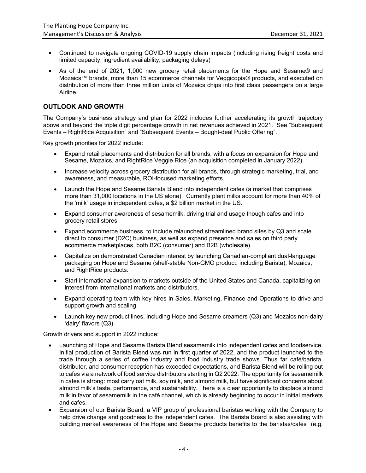- Continued to navigate ongoing COVID-19 supply chain impacts (including rising freight costs and limited capacity, ingredient availability, packaging delays)
- As of the end of 2021, 1,000 new grocery retail placements for the Hope and Sesame® and Mozaics™ brands, more than 15 ecommerce channels for Veggicopia® products, and executed on distribution of more than three million units of Mozaics chips into first class passengers on a large Airline.

## **OUTLOOK AND GROWTH**

The Company's business strategy and plan for 2022 includes further accelerating its growth trajectory above and beyond the triple digit percentage growth in net revenues achieved in 2021. See "Subsequent Events – RightRice Acquisition" and "Subsequent Events – Bought-deal Public Offering".

Key growth priorities for 2022 include:

- Expand retail placements and distribution for all brands, with a focus on expansion for Hope and Sesame, Mozaics, and RightRice Veggie Rice (an acquisition completed in January 2022).
- Increase velocity across grocery distribution for all brands, through strategic marketing, trial, and awareness, and measurable, ROI-focused marketing efforts.
- Launch the Hope and Sesame Barista Blend into independent cafes (a market that comprises more than 31,000 locations in the US alone). Currently plant milks account for more than 40% of the 'milk' usage in independent cafes, a \$2 billion market in the US.
- Expand consumer awareness of sesamemilk, driving trial and usage though cafes and into grocery retail stores.
- Expand ecommerce business, to include relaunched streamlined brand sites by Q3 and scale direct to consumer (D2C) business, as well as expand presence and sales on third party ecommerce marketplaces, both B2C (consumer) and B2B (wholesale).
- Capitalize on demonstrated Canadian interest by launching Canadian-compliant dual-language packaging on Hope and Sesame (shelf-stable Non-GMO product, including Barista), Mozaics, and RightRice products.
- Start international expansion to markets outside of the United States and Canada, capitalizing on interest from international markets and distributors.
- Expand operating team with key hires in Sales, Marketing, Finance and Operations to drive and support growth and scaling.
- Launch key new product lines, including Hope and Sesame creamers (Q3) and Mozaics non-dairy 'dairy' flavors (Q3)

Growth drivers and support in 2022 include:

- Launching of Hope and Sesame Barista Blend sesamemilk into independent cafes and foodservice. Initial production of Barista Blend was run in first quarter of 2022, and the product launched to the trade through a series of coffee industry and food industry trade shows. Thus far café/barista, distributor, and consumer reception has exceeded expectations, and Barista Blend will be rolling out to cafes via a network of food service distributors starting in Q2 2022. The opportunity for sesamemilk in cafes is strong: most carry oat milk, soy milk, and almond milk, but have significant concerns about almond milk's taste, performance, and sustainability. There is a clear opportunity to displace almond milk in favor of sesamemilk in the café channel, which is already beginning to occur in initial markets and cafes.
- Expansion of our Barista Board, a VIP group of professional baristas working with the Company to help drive change and goodness to the independent cafes. The Barista Board is also assisting with building market awareness of the Hope and Sesame products benefits to the baristas/cafés (e.g.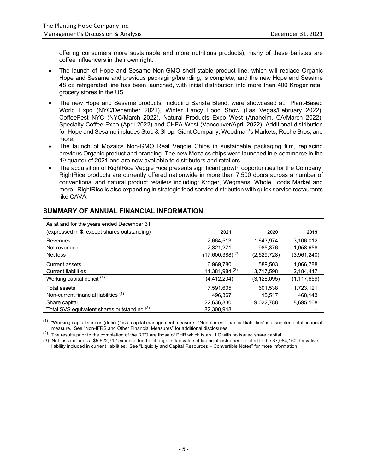offering consumers more sustainable and more nutritious products); many of these baristas are coffee influencers in their own right.

- The launch of Hope and Sesame Non-GMO shelf-stable product line, which will replace Organic Hope and Sesame and previous packaging/branding, is complete, and the new Hope and Sesame 48 oz refrigerated line has been launched, with initial distribution into more than 400 Kroger retail grocery stores in the US.
- The new Hope and Sesame products, including Barista Blend, were showcased at: Plant-Based World Expo (NYC/December 2021), Winter Fancy Food Show (Las Vegas/February 2022), CoffeeFest NYC (NYC/March 2022), Natural Products Expo West (Anaheim, CA/March 2022), Specialty Coffee Expo (April 2022) and CHFA West (Vancouver/April 2022). Additional distribution for Hope and Sesame includes Stop & Shop, Giant Company, Woodman's Markets, Roche Bros, and more.
- The launch of Mozaics Non-GMO Real Veggie Chips in sustainable packaging film, replacing previous Organic product and branding. The new Mozaics chips were launched in e-commerce in the 4<sup>th</sup> quarter of 2021 and are now available to distributors and retailers
- The acquisition of RightRice Veggie Rice presents significant growth opportunities for the Company. RightRice products are currently offered nationwide in more than 7,500 doors across a number of conventional and natural product retailers including: Kroger, Wegmans, Whole Foods Market and more. RightRice is also expanding in strategic food service distribution with quick service restaurants like CAVA.

## **SUMMARY OF ANNUAL FINANCIAL INFORMATION**

| As at and for the years ended December 31    |                      |             |               |
|----------------------------------------------|----------------------|-------------|---------------|
| (expressed in \$, except shares outstanding) | 2021                 | 2020        | 2019          |
| Revenues                                     | 2.664.513            | 1.643.974   | 3,106,012     |
| Net revenues                                 | 2,321,271            | 985.376     | 1,958,658     |
| Net loss                                     | $(17,600,388)^{(3)}$ | (2,529,728) | (3,961,240)   |
| Current assets                               | 6,969,780            | 589.503     | 1,066,788     |
| <b>Current liabilities</b>                   | $11,381,984^{(3)}$   | 3,717,598   | 2,184,447     |
| Working capital deficit <sup>(1)</sup>       | (4, 412, 204)        | (3,128,095) | (1, 117, 659) |
| Total assets                                 | 7.591.605            | 601.538     | 1,723,121     |
| Non-current financial liabilities (1)        | 496.367              | 15.517      | 468.143       |
| Share capital                                | 22,636,830           | 9.022.788   | 8,695,168     |
| Total SVS equivalent shares outstanding (2)  | 82.300.948           |             |               |

 $(1)$  "Working capital surplus (deficit)" is a capital management measure. "Non-current financial liabilities" is a supplemental financial measure. See "Non-IFRS and Other Financial Measures" for additional disclosures.

 $(2)$  The results prior to the completion of the RTO are those of PHB which is an LLC with no issued share capital.

(3) Net loss includes a \$5,622,712 expense for the change in fair value of financial instrument related to the \$7,084,160 derivative liability included in current liabilities. See "Liquidity and Capital Resources – Convertible Notes" for more information.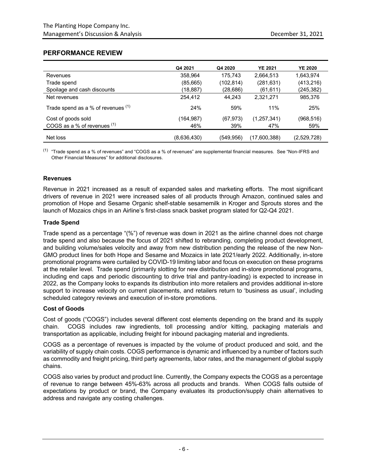## **PERFORMANCE REVIEW**

|                                    | Q4 2021     | Q4 2020    | <b>YE 2021</b> | <b>YE 2020</b> |
|------------------------------------|-------------|------------|----------------|----------------|
| Revenues                           | 358.964     | 175.743    | 2,664,513      | 1,643,974      |
| Trade spend                        | (85,665)    | (102, 814) | (281, 631)     | (413, 216)     |
| Spoilage and cash discounts        | (18,887)    | (28, 686)  | (61, 611)      | (245, 382)     |
| Net revenues                       | 254,412     | 44.243     | 2,321,271      | 985,376        |
| Trade spend as a % of revenues (1) | 24%         | 59%        | 11%            | 25%            |
| Cost of goods sold                 | (164,987)   | (67, 973)  | (1,257,341)    | (968, 516)     |
| COGS as a % of revenues (1)        | 46%         | 39%        | 47%            | 59%            |
| Net loss                           | (8,636,430) | (549, 956) | (17,600,388)   | (2,529,728)    |

(1) "Trade spend as a % of revenues" and "COGS as a % of revenues" are supplemental financial measures. See "Non-IFRS and Other Financial Measures" for additional disclosures.

#### **Revenues**

Revenue in 2021 increased as a result of expanded sales and marketing efforts. The most significant drivers of revenue in 2021 were increased sales of all products through Amazon, continued sales and promotion of Hope and Sesame Organic shelf-stable sesamemilk in Kroger and Sprouts stores and the launch of Mozaics chips in an Airline's first-class snack basket program slated for Q2-Q4 2021.

## **Trade Spend**

Trade spend as a percentage "(%") of revenue was down in 2021 as the airline channel does not charge trade spend and also because the focus of 2021 shifted to rebranding, completing product development, and building volume/sales velocity and away from new distribution pending the release of the new Non-GMO product lines for both Hope and Sesame and Mozaics in late 2021/early 2022. Additionally, in-store promotional programs were curtailed by COVID-19 limiting labor and focus on execution on these programs at the retailer level. Trade spend (primarily slotting for new distribution and in-store promotional programs, including end caps and periodic discounting to drive trial and pantry-loading) is expected to increase in 2022, as the Company looks to expands its distribution into more retailers and provides additional in-store support to increase velocity on current placements, and retailers return to 'business as usual', including scheduled category reviews and execution of in-store promotions.

## **Cost of Goods**

Cost of goods ("COGS") includes several different cost elements depending on the brand and its supply chain. COGS includes raw ingredients, toll processing and/or kitting, packaging materials and transportation as applicable, including freight for inbound packaging material and ingredients.

COGS as a percentage of revenues is impacted by the volume of product produced and sold, and the variability of supply chain costs. COGS performance is dynamic and influenced by a number of factors such as commodity and freight pricing, third party agreements, labor rates, and the management of global supply chains.

COGS also varies by product and product line. Currently, the Company expects the COGS as a percentage of revenue to range between 45%-63% across all products and brands. When COGS falls outside of expectations by product or brand, the Company evaluates its production/supply chain alternatives to address and navigate any costing challenges.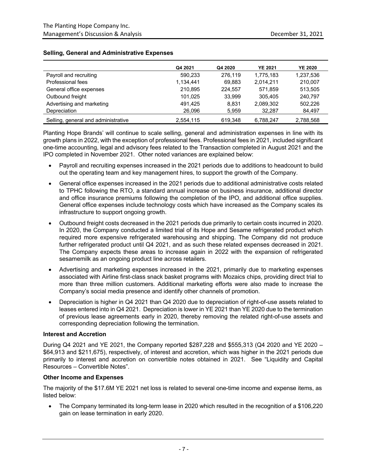|                                     | Q4 2021   | Q4 2020 | <b>YE 2021</b> | <b>YE 2020</b> |
|-------------------------------------|-----------|---------|----------------|----------------|
| Payroll and recruiting              | 590,233   | 276.119 | 1.775.183      | 1,237,536      |
| Professional fees                   | 1,134,441 | 69,883  | 2.014.211      | 210,007        |
| General office expenses             | 210.895   | 224.557 | 571.859        | 513.505        |
| Outbound freight                    | 101,025   | 33,999  | 305.405        | 240.797        |
| Advertising and marketing           | 491.425   | 8,831   | 2,089,302      | 502.226        |
| Depreciation                        | 26,096    | 5,959   | 32.287         | 84,497         |
| Selling, general and administrative | 2.554.115 | 619.348 | 6.788.247      | 2,788,568      |

#### **Selling, General and Administrative Expenses**

Planting Hope Brands' will continue to scale selling, general and administration expenses in line with its growth plans in 2022, with the exception of professional fees. Professional fees in 2021, included significant one-time accounting, legal and advisory fees related to the Transaction completed in August 2021 and the IPO completed in November 2021. Other noted variances are explained below:

- Payroll and recruiting expenses increased in the 2021 periods due to additions to headcount to build out the operating team and key management hires, to support the growth of the Company.
- General office expenses increased in the 2021 periods due to additional administrative costs related to TPHC following the RTO, a standard annual increase on business insurance, additional director and office insurance premiums following the completion of the IPO, and additional office supplies. General office expenses include technology costs which have increased as the Company scales its infrastructure to support ongoing growth.
- Outbound freight costs decreased in the 2021 periods due primarily to certain costs incurred in 2020. In 2020, the Company conducted a limited trial of its Hope and Sesame refrigerated product which required more expensive refrigerated warehousing and shipping. The Company did not produce further refrigerated product until Q4 2021, and as such these related expenses decreased in 2021. The Company expects these areas to increase again in 2022 with the expansion of refrigerated sesamemilk as an ongoing product line across retailers.
- Advertising and marketing expenses increased in the 2021, primarily due to marketing expenses associated with Airline first-class snack basket programs with Mozaics chips, providing direct trial to more than three million customers. Additional marketing efforts were also made to increase the Company's social media presence and identify other channels of promotion.
- Depreciation is higher in Q4 2021 than Q4 2020 due to depreciation of right-of-use assets related to leases entered into in Q4 2021. Depreciation is lower in YE 2021 than YE 2020 due to the termination of previous lease agreements early in 2020, thereby removing the related right-of-use assets and corresponding depreciation following the termination.

#### **Interest and Accretion**

During Q4 2021 and YE 2021, the Company reported \$287,228 and \$555,313 (Q4 2020 and YE 2020 – \$64,913 and \$211,675), respectively, of interest and accretion, which was higher in the 2021 periods due primarily to interest and accretion on convertible notes obtained in 2021. See "Liquidity and Capital Resources – Convertible Notes".

#### **Other Income and Expenses**

The majority of the \$17.6M YE 2021 net loss is related to several one-time income and expense items, as listed below:

• The Company terminated its long-term lease in 2020 which resulted in the recognition of a \$106,220 gain on lease termination in early 2020.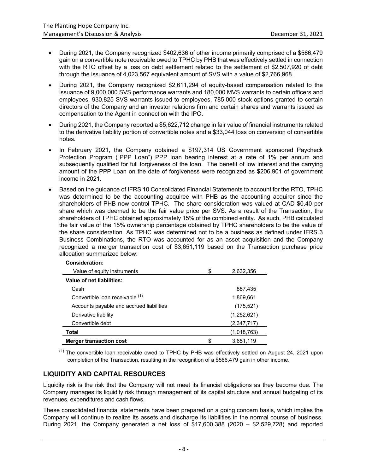- During 2021, the Company recognized \$402,636 of other income primarily comprised of a \$566,479 gain on a convertible note receivable owed to TPHC by PHB that was effectively settled in connection with the RTO offset by a loss on debt settlement related to the settlement of \$2,507,920 of debt through the issuance of 4,023,567 equivalent amount of SVS with a value of \$2,766,968.
- During 2021, the Company recognized \$2,611,294 of equity-based compensation related to the issuance of 9,000,000 SVS performance warrants and 180,000 MVS warrants to certain officers and employees, 930,825 SVS warrants issued to employees, 785,000 stock options granted to certain directors of the Company and an investor relations firm and certain shares and warrants issued as compensation to the Agent in connection with the IPO.
- During 2021, the Company reported a \$5,622,712 change in fair value of financial instruments related to the derivative liability portion of convertible notes and a \$33,044 loss on conversion of convertible notes.
- In February 2021, the Company obtained a \$197,314 US Government sponsored Paycheck Protection Program ("PPP Loan") PPP loan bearing interest at a rate of 1% per annum and subsequently qualified for full forgiveness of the loan. The benefit of low interest and the carrying amount of the PPP Loan on the date of forgiveness were recognized as \$206,901 of government income in 2021.
- Based on the guidance of IFRS 10 Consolidated Financial Statements to account for the RTO, TPHC was determined to be the accounting acquiree with PHB as the accounting acquirer since the shareholders of PHB now control TPHC. The share consideration was valued at CAD \$0.40 per share which was deemed to be the fair value price per SVS. As a result of the Transaction, the shareholders of TPHC obtained approximately 15% of the combined entity. As such, PHB calculated the fair value of the 15% ownership percentage obtained by TPHC shareholders to be the value of the share consideration. As TPHC was determined not to be a business as defined under IFRS 3 Business Combinations, the RTO was accounted for as an asset acquisition and the Company recognized a merger transaction cost of \$3,651,119 based on the Transaction purchase price allocation summarized below:

| Consideration:                           |                 |
|------------------------------------------|-----------------|
| Value of equity instruments              | \$<br>2,632,356 |
| Value of net liabilities:                |                 |
| Cash                                     | 887,435         |
| Convertible loan receivable (1)          | 1,869,661       |
| Accounts payable and accrued liabilities | (175, 521)      |
| Derivative liability                     | (1,252,621)     |
| Convertible debt                         | (2,347,717)     |
| Total                                    | (1,018,763)     |
| <b>Merger transaction cost</b>           | \$<br>3,651,119 |

 $<sup>(1)</sup>$  The convertible loan receivable owed to TPHC by PHB was effectively settled on August 24, 2021 upon</sup> completion of the Transaction, resulting in the recognition of a \$566,479 gain in other income.

# **LIQUIDITY AND CAPITAL RESOURCES**

Liquidity risk is the risk that the Company will not meet its financial obligations as they become due. The Company manages its liquidity risk through management of its capital structure and annual budgeting of its revenues, expenditures and cash flows.

These consolidated financial statements have been prepared on a going concern basis, which implies the Company will continue to realize its assets and discharge its liabilities in the normal course of business. During 2021, the Company generated a net loss of \$17,600,388 (2020 – \$2,529,728) and reported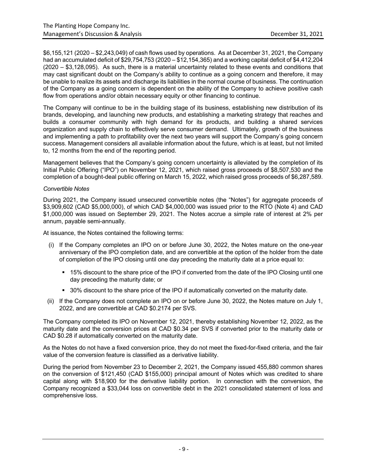\$6,155,121 (2020 – \$2,243,049) of cash flows used by operations. As at December 31, 2021, the Company had an accumulated deficit of \$29,754,753 (2020 – \$12,154,365) and a working capital deficit of \$4,412,204 (2020 – \$3,128,095). As such, there is a material uncertainty related to these events and conditions that may cast significant doubt on the Company's ability to continue as a going concern and therefore, it may be unable to realize its assets and discharge its liabilities in the normal course of business. The continuation of the Company as a going concern is dependent on the ability of the Company to achieve positive cash flow from operations and/or obtain necessary equity or other financing to continue.

The Company will continue to be in the building stage of its business, establishing new distribution of its brands, developing, and launching new products, and establishing a marketing strategy that reaches and builds a consumer community with high demand for its products, and building a shared services organization and supply chain to effectively serve consumer demand. Ultimately, growth of the business and implementing a path to profitability over the next two years will support the Company's going concern success. Management considers all available information about the future, which is at least, but not limited to, 12 months from the end of the reporting period.

Management believes that the Company's going concern uncertainty is alleviated by the completion of its Initial Public Offering ("IPO") on November 12, 2021, which raised gross proceeds of \$8,507,530 and the completion of a bought-deal public offering on March 15, 2022, which raised gross proceeds of \$6,287,589.

## *Convertible Notes*

During 2021, the Company issued unsecured convertible notes (the "Notes") for aggregate proceeds of \$3,909,602 (CAD \$5,000,000), of which CAD \$4,000,000 was issued prior to the RTO (Note 4) and CAD \$1,000,000 was issued on September 29, 2021. The Notes accrue a simple rate of interest at 2% per annum, payable semi-annually.

At issuance, the Notes contained the following terms:

- (i) If the Company completes an IPO on or before June 30, 2022, the Notes mature on the one-year anniversary of the IPO completion date, and are convertible at the option of the holder from the date of completion of the IPO closing until one day preceding the maturity date at a price equal to:
	- § 15% discount to the share price of the IPO if converted from the date of the IPO Closing until one day preceding the maturity date; or
	- § 30% discount to the share price of the IPO if automatically converted on the maturity date.
- (ii) If the Company does not complete an IPO on or before June 30, 2022, the Notes mature on July 1, 2022, and are convertible at CAD \$0.2174 per SVS.

The Company completed its IPO on November 12, 2021, thereby establishing November 12, 2022, as the maturity date and the conversion prices at CAD \$0.34 per SVS if converted prior to the maturity date or CAD \$0.28 if automatically converted on the maturity date.

As the Notes do not have a fixed conversion price, they do not meet the fixed-for-fixed criteria, and the fair value of the conversion feature is classified as a derivative liability.

During the period from November 23 to December 2, 2021, the Company issued 455,880 common shares on the conversion of \$121,450 (CAD \$155,000) principal amount of Notes which was credited to share capital along with \$18,900 for the derivative liability portion. In connection with the conversion, the Company recognized a \$33,044 loss on convertible debt in the 2021 consolidated statement of loss and comprehensive loss.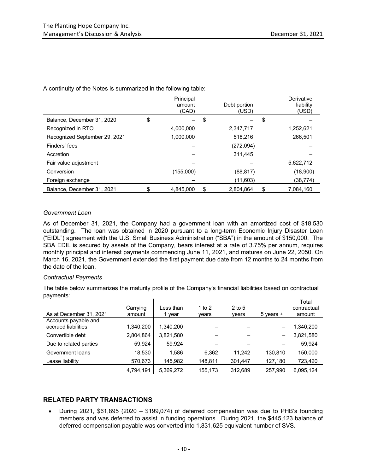|                               | Principal<br>amount<br>(CAD) | Debt portion<br>(USD) |    | Derivative<br>liability<br>(USD) |
|-------------------------------|------------------------------|-----------------------|----|----------------------------------|
| Balance, December 31, 2020    | \$                           | \$                    | \$ |                                  |
| Recognized in RTO             | 4,000,000                    | 2,347,717             |    | 1,252,621                        |
| Recognized September 29, 2021 | 1.000.000                    | 518,216               |    | 266.501                          |
| Finders' fees                 |                              | (272,094)             |    |                                  |
| Accretion                     |                              | 311,445               |    |                                  |
| Fair value adjustment         |                              |                       |    | 5,622,712                        |
| Conversion                    | (155,000)                    | (88, 817)             |    | (18,900)                         |
| Foreign exchange              |                              | (11,603)              |    | (38, 774)                        |
| Balance, December 31, 2021    | \$<br>4,845,000              | \$<br>2,804,864       | S  | 7,084,160                        |

A continuity of the Notes is summarized in the following table:

## *Government Loan*

As of December 31, 2021, the Company had a government loan with an amortized cost of \$18,530 outstanding. The loan was obtained in 2020 pursuant to a long-term Economic Injury Disaster Loan ("EIDL") agreement with the U.S. Small Business Administration ("SBA") in the amount of \$150,000. The SBA EDIL is secured by assets of the Company, bears interest at a rate of 3.75% per annum, requires monthly principal and interest payments commencing June 11, 2021, and matures on June 22, 2050. On March 16, 2021, the Government extended the first payment due date from 12 months to 24 months from the date of the loan.

## *Contractual Payments*

The table below summarizes the maturity profile of the Company's financial liabilities based on contractual payments:

| As at December 31, 2021 | Carrying<br>amount | Less than<br>vear | 1 to $2$<br>vears | $2$ to 5<br>vears | $5$ years $+$            | Total<br>contractual<br>amount |
|-------------------------|--------------------|-------------------|-------------------|-------------------|--------------------------|--------------------------------|
| Accounts payable and    |                    |                   |                   |                   |                          |                                |
| accrued liabilities     | 1,340,200          | 1,340,200         |                   |                   |                          | 1,340,200                      |
| Convertible debt        | 2,804,864          | 3,821,580         |                   |                   | $\overline{\phantom{m}}$ | 3,821,580                      |
| Due to related parties  | 59.924             | 59.924            |                   |                   | -                        | 59.924                         |
| Government loans        | 18.530             | 1.586             | 6.362             | 11.242            | 130,810                  | 150.000                        |
| Lease liability         | 570,673            | 145.982           | 148,811           | 301,447           | 127,180                  | 723,420                        |
|                         | 4,794,191          | 5,369,272         | 155,173           | 312,689           | 257,990                  | 6,095,124                      |

# **RELATED PARTY TRANSACTIONS**

• During 2021, \$61,895 (2020 – \$199,074) of deferred compensation was due to PHB's founding members and was deferred to assist in funding operations. During 2021, the \$445,123 balance of deferred compensation payable was converted into 1,831,625 equivalent number of SVS.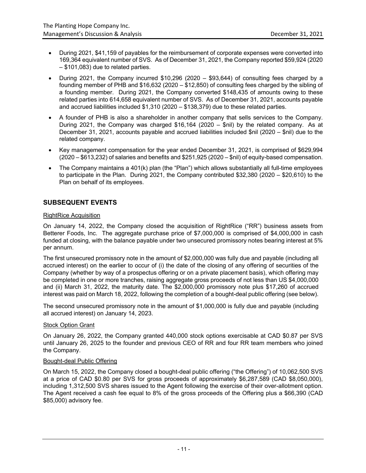- During 2021, \$41,159 of payables for the reimbursement of corporate expenses were converted into 169,364 equivalent number of SVS. As of December 31, 2021, the Company reported \$59,924 (2020 – \$101,083) due to related parties.
- During 2021, the Company incurred \$10,296 (2020 \$93,644) of consulting fees charged by a founding member of PHB and \$16,632 (2020 – \$12,850) of consulting fees charged by the sibling of a founding member. During 2021, the Company converted \$148,435 of amounts owing to these related parties into 614,658 equivalent number of SVS. As of December 31, 2021, accounts payable and accrued liabilities included \$1,310 (2020 – \$138,379) due to these related parties.
- A founder of PHB is also a shareholder in another company that sells services to the Company. During 2021, the Company was charged \$16,164 (2020 – \$nil) by the related company. As at December 31, 2021, accounts payable and accrued liabilities included \$nil (2020 – \$nil) due to the related company.
- Key management compensation for the year ended December 31, 2021, is comprised of \$629,994 (2020 – \$613,232) of salaries and benefits and \$251,925 (2020 – \$nil) of equity-based compensation.
- The Company maintains a 401(k) plan (the "Plan") which allows substantially all full-time employees to participate in the Plan. During 2021, the Company contributed \$32,380 (2020 – \$20,610) to the Plan on behalf of its employees.

## **SUBSEQUENT EVENTS**

#### RightRice Acquisition

On January 14, 2022, the Company closed the acquisition of RightRice ("RR") business assets from Betterer Foods, Inc. The aggregate purchase price of \$7,000,000 is comprised of \$4,000,000 in cash funded at closing, with the balance payable under two unsecured promissory notes bearing interest at 5% per annum.

The first unsecured promissory note in the amount of \$2,000,000 was fully due and payable (including all accrued interest) on the earlier to occur of (i) the date of the closing of any offering of securities of the Company (whether by way of a prospectus offering or on a private placement basis), which offering may be completed in one or more tranches, raising aggregate gross proceeds of not less than US \$4,000,000 and (ii) March 31, 2022, the maturity date. The \$2,000,000 promissory note plus \$17,260 of accrued interest was paid on March 18, 2022, following the completion of a bought-deal public offering (see below).

The second unsecured promissory note in the amount of \$1,000,000 is fully due and payable (including all accrued interest) on January 14, 2023.

#### **Stock Option Grant**

On January 26, 2022, the Company granted 440,000 stock options exercisable at CAD \$0.87 per SVS until January 26, 2025 to the founder and previous CEO of RR and four RR team members who joined the Company.

#### Bought-deal Public Offering

On March 15, 2022, the Company closed a bought-deal public offering ("the Offering") of 10,062,500 SVS at a price of CAD \$0.80 per SVS for gross proceeds of approximately \$6,287,589 (CAD \$8,050,000), including 1,312,500 SVS shares issued to the Agent following the exercise of their over-allotment option. The Agent received a cash fee equal to 8% of the gross proceeds of the Offering plus a \$66,390 (CAD \$85,000) advisory fee.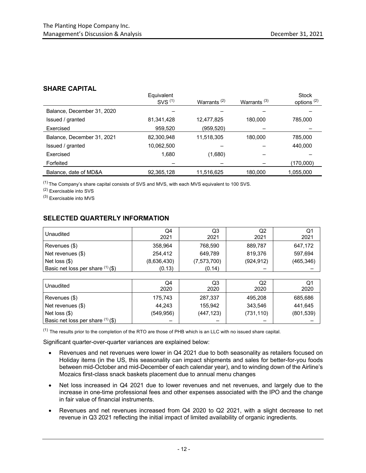## **SHARE CAPITAL**

|                            | Equivalent<br>SVS <sup>(1)</sup> | Warrants <sup>(2)</sup> | Warrants $(3)$ | <b>Stock</b><br>options <sup>(2)</sup> |
|----------------------------|----------------------------------|-------------------------|----------------|----------------------------------------|
| Balance, December 31, 2020 |                                  |                         |                |                                        |
| Issued / granted           | 81,341,428                       | 12,477,825              | 180.000        | 785.000                                |
| Exercised                  | 959,520                          | (959, 520)              |                |                                        |
| Balance, December 31, 2021 | 82,300,948                       | 11,518,305              | 180,000        | 785,000                                |
| Issued / granted           | 10,062,500                       |                         |                | 440.000                                |
| Exercised                  | 1,680                            | (1,680)                 |                |                                        |
| Forfeited                  |                                  |                         |                | (170,000)                              |
| Balance, date of MD&A      | 92,365,128                       | 11,516,625              | 180.000        | 1,055,000                              |

(1) The Company's share capital consists of SVS and MVS, with each MVS equivalent to 100 SVS.

(2) Exercisable into SVS

(3) Exercisable into MVS

# **SELECTED QUARTERLY INFORMATION**

| Unaudited                           | Q4<br>2021  | Q3<br>2021  | Q2<br>2021               | Q1<br>2021 |
|-------------------------------------|-------------|-------------|--------------------------|------------|
| Revenues (\$)                       | 358,964     | 768,590     | 889,787                  | 647,172    |
| Net revenues $(\$)$                 | 254.412     | 649.789     | 819,376                  | 597,694    |
| Net loss $(\$)$                     | (8,636,430) | (7,573,700) | (924, 912)               | (465, 346) |
| Basic net loss per share $(1)$ (\$) | (0.13)      | (0.14)      | $\overline{\phantom{m}}$ |            |

| Unaudited                           | Q4<br>2020 | Q3<br>2020 | Q2<br>2020               | Q1<br>2020 |
|-------------------------------------|------------|------------|--------------------------|------------|
| Revenues (\$)                       | 175.743    | 287,337    | 495.208                  | 685,686    |
| Net revenues $(\$)$                 | 44.243     | 155.942    | 343.546                  | 441,645    |
| Net loss $(\$)$                     | (549, 956) | (447, 123) | (731, 110)               | (801, 539) |
| Basic net loss per share $(1)$ (\$) | -          | -          | $\overline{\phantom{0}}$ |            |

 $<sup>(1)</sup>$  The results prior to the completion of the RTO are those of PHB which is an LLC with no issued share capital.</sup>

Significant quarter-over-quarter variances are explained below:

- Revenues and net revenues were lower in Q4 2021 due to both seasonality as retailers focused on Holiday items (in the US, this seasonality can impact shipments and sales for better-for-you foods between mid-October and mid-December of each calendar year), and to winding down of the Airline's Mozaics first-class snack baskets placement due to annual menu changes
- Net loss increased in Q4 2021 due to lower revenues and net revenues, and largely due to the increase in one-time professional fees and other expenses associated with the IPO and the change in fair value of financial instruments.
- Revenues and net revenues increased from Q4 2020 to Q2 2021, with a slight decrease to net revenue in Q3 2021 reflecting the initial impact of limited availability of organic ingredients.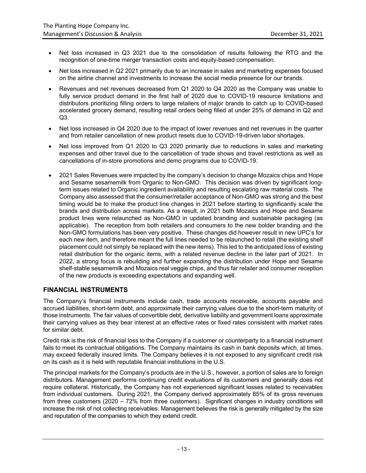- Net loss increased in Q3 2021 due to the consolidation of results following the RTO and the recognition of one-time merger transaction costs and equity-based compensation.
- Net loss increased in Q2 2021 primarily due to an increase in sales and marketing expenses focused on the airline channel and investments to increase the social media presence for our brands.
- Revenues and net revenues decreased from Q1 2020 to Q4 2020 as the Company was unable to fully service product demand in the first half of 2020 due to COVID-19 resource limitations and distributors prioritizing filling orders to large retailers of major brands to catch up to COVID-based accelerated grocery demand, resulting retail orders being filled at under 25% of demand in Q2 and Q3.
- Net loss increased in Q4 2020 due to the impact of lower revenues and net revenues in the quarter and from retailer cancellation of new product resets due to COVID-19-driven labor shortages.
- Net loss improved from Q1 2020 to Q3 2020 primarily due to reductions in sales and marketing expenses and other travel due to the cancellation of trade shows and travel restrictions as well as cancellations of in-store promotions and demo programs due to COVID-19.
- 2021 Sales Revenues were impacted by the company's decision to change Mozaics chips and Hope and Sesame sesamemilk from Organic to Non-GMO. This decision was driven by significant longterm issues related to Organic ingredient availability and resulting escalating raw material costs. The Company also assessed that the consumer/retailer acceptance of Non-GMO was strong and the best timing would be to make the product line changes in 2021 before starting to significantly scale the brands and distribution across markets. As a result, in 2021 both Mozaics and Hope and Sesame product lines were relaunched as Non-GMO in updated branding and sustainable packaging (as applicable). The reception from both retailers and consumers to the new bolder branding and the Non-GMO formulations has been very positive. These changes did however result in new UPC's for each new item, and therefore meant the full lines needed to be relaunched to retail (the existing shelf placement could not simply be replaced with the new items). This led to the anticipated loss of existing retail distribution for the organic items, with a related revenue decline in the later part of 2021. In 2022, a strong focus is rebuilding and further expanding the distribution under Hope and Sesame shelf-stable sesamemilk and Mozaics real veggie chips, and thus far retailer and consumer reception of the new products is exceeding expectations and expanding well.

## **FINANCIAL INSTRUMENTS**

The Company's financial instruments include cash, trade accounts receivable, accounts payable and accrued liabilities, short-term debt, and approximate their carrying values due to the short-term maturity of those instruments. The fair values of convertible debt, derivative liability and government loans approximate their carrying values as they bear interest at an effective rates or fixed rates consistent with market rates for similar debt.

Credit risk is the risk of financial loss to the Company if a customer or counterparty to a financial instrument fails to meet its contractual obligations. The Company maintains its cash in bank deposits which, at times, may exceed federally insured limits. The Company believes it is not exposed to any significant credit risk on its cash as it is held with reputable financial institutions in the U.S.

The principal markets for the Company's products are in the U.S., however, a portion of sales are to foreign distributors. Management performs continuing credit evaluations of its customers and generally does not require collateral. Historically, the Company has not experienced significant losses related to receivables from individual customers. During 2021, the Company derived approximately 85% of its gross revenues from three customers (2020 – 72% from three customers). Significant changes in industry conditions will increase the risk of not collecting receivables. Management believes the risk is generally mitigated by the size and reputation of the companies to which they extend credit.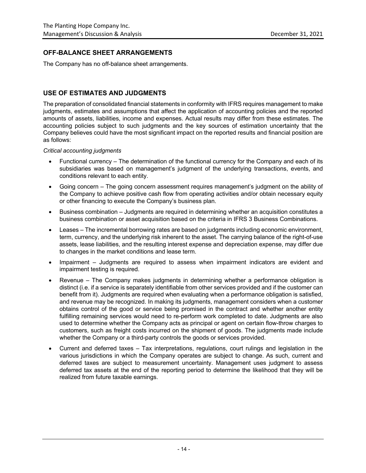## **OFF-BALANCE SHEET ARRANGEMENTS**

The Company has no off-balance sheet arrangements.

## **USE OF ESTIMATES AND JUDGMENTS**

The preparation of consolidated financial statements in conformity with IFRS requires management to make judgments, estimates and assumptions that affect the application of accounting policies and the reported amounts of assets, liabilities, income and expenses. Actual results may differ from these estimates. The accounting policies subject to such judgments and the key sources of estimation uncertainty that the Company believes could have the most significant impact on the reported results and financial position are as follows:

*Critical accounting judgments*

- Functional currency The determination of the functional currency for the Company and each of its subsidiaries was based on management's judgment of the underlying transactions, events, and conditions relevant to each entity.
- Going concern The going concern assessment requires management's judgment on the ability of the Company to achieve positive cash flow from operating activities and/or obtain necessary equity or other financing to execute the Company's business plan.
- Business combination Judgments are required in determining whether an acquisition constitutes a business combination or asset acquisition based on the criteria in IFRS 3 Business Combinations.
- Leases The incremental borrowing rates are based on judgments including economic environment, term, currency, and the underlying risk inherent to the asset. The carrying balance of the right-of-use assets, lease liabilities, and the resulting interest expense and depreciation expense, may differ due to changes in the market conditions and lease term.
- Impairment Judgments are required to assess when impairment indicators are evident and impairment testing is required.
- Revenue The Company makes judgments in determining whether a performance obligation is distinct (i.e. if a service is separately identifiable from other services provided and if the customer can benefit from it). Judgments are required when evaluating when a performance obligation is satisfied, and revenue may be recognized. In making its judgments, management considers when a customer obtains control of the good or service being promised in the contract and whether another entity fulfilling remaining services would need to re-perform work completed to date. Judgments are also used to determine whether the Company acts as principal or agent on certain flow-throw charges to customers, such as freight costs incurred on the shipment of goods. The judgments made include whether the Company or a third-party controls the goods or services provided.
- Current and deferred taxes Tax interpretations, regulations, court rulings and legislation in the various jurisdictions in which the Company operates are subject to change. As such, current and deferred taxes are subject to measurement uncertainty. Management uses judgment to assess deferred tax assets at the end of the reporting period to determine the likelihood that they will be realized from future taxable earnings.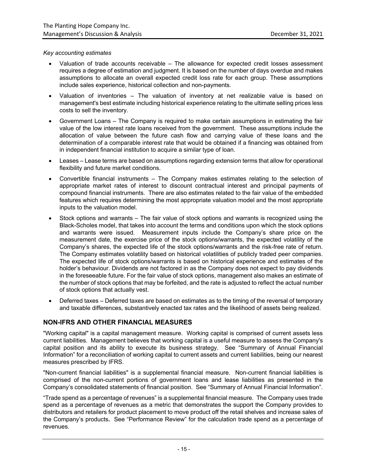#### *Key accounting estimates*

- Valuation of trade accounts receivable The allowance for expected credit losses assessment requires a degree of estimation and judgment. It is based on the number of days overdue and makes assumptions to allocate an overall expected credit loss rate for each group. These assumptions include sales experience, historical collection and non-payments.
- Valuation of inventories The valuation of inventory at net realizable value is based on management's best estimate including historical experience relating to the ultimate selling prices less costs to sell the inventory.
- Government Loans The Company is required to make certain assumptions in estimating the fair value of the low interest rate loans received from the government. These assumptions include the allocation of value between the future cash flow and carrying value of these loans and the determination of a comparable interest rate that would be obtained if a financing was obtained from in independent financial institution to acquire a similar type of loan.
- Leases Lease terms are based on assumptions regarding extension terms that allow for operational flexibility and future market conditions.
- Convertible financial instruments The Company makes estimates relating to the selection of appropriate market rates of interest to discount contractual interest and principal payments of compound financial instruments. There are also estimates related to the fair value of the embedded features which requires determining the most appropriate valuation model and the most appropriate inputs to the valuation model.
- Stock options and warrants The fair value of stock options and warrants is recognized using the Black-Scholes model, that takes into account the terms and conditions upon which the stock options and warrants were issued. Measurement inputs include the Company's share price on the measurement date, the exercise price of the stock options/warrants, the expected volatility of the Company's shares, the expected life of the stock options/warrants and the risk-free rate of return. The Company estimates volatility based on historical volatilities of publicly traded peer companies. The expected life of stock options/warrants is based on historical experience and estimates of the holder's behaviour. Dividends are not factored in as the Company does not expect to pay dividends in the foreseeable future. For the fair value of stock options, management also makes an estimate of the number of stock options that may be forfeited, and the rate is adjusted to reflect the actual number of stock options that actually vest.
- Deferred taxes Deferred taxes are based on estimates as to the timing of the reversal of temporary and taxable differences, substantively enacted tax rates and the likelihood of assets being realized.

## **NON-IFRS AND OTHER FINANCIAL MEASURES**

"Working capital" is a capital management measure. Working capital is comprised of current assets less current liabilities. Management believes that working capital is a useful measure to assess the Company's capital position and its ability to execute its business strategy. See "Summary of Annual Financial Information" for a reconciliation of working capital to current assets and current liabilities, being our nearest measures prescribed by IFRS.

"Non-current financial liabilities" is a supplemental financial measure. Non-current financial liabilities is comprised of the non-current portions of government loans and lease liabilities as presented in the Company's consolidated statements of financial position. See "Summary of Annual Financial Information".

"Trade spend as a percentage of revenues" is a supplemental financial measure. The Company uses trade spend as a percentage of revenues as a metric that demonstrates the support the Company provides to distributors and retailers for product placement to move product off the retail shelves and increase sales of the Company's products**.** See "Performance Review" for the calculation trade spend as a percentage of revenues.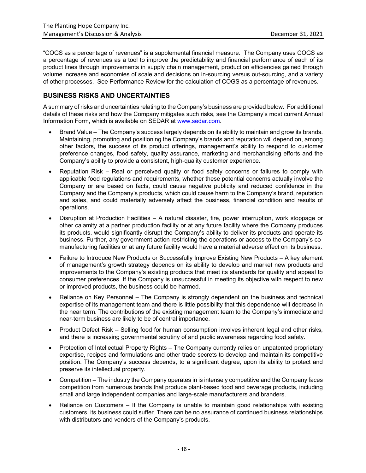"COGS as a percentage of revenues" is a supplemental financial measure. The Company uses COGS as a percentage of revenues as a tool to improve the predictability and financial performance of each of its product lines through improvements in supply chain management, production efficiencies gained through volume increase and economies of scale and decisions on in-sourcing versus out-sourcing, and a variety of other processes. See Performance Review for the calculation of COGS as a percentage of revenues.

## **BUSINESS RISKS AND UNCERTAINTIES**

A summary of risks and uncertainties relating to the Company's business are provided below. For additional details of these risks and how the Company mitigates such risks, see the Company's most current Annual Information Form, which is available on SEDAR at www.sedar.com.

- Brand Value The Company's success largely depends on its ability to maintain and grow its brands. Maintaining, promoting and positioning the Company's brands and reputation will depend on, among other factors, the success of its product offerings, management's ability to respond to customer preference changes, food safety, quality assurance, marketing and merchandising efforts and the Company's ability to provide a consistent, high-quality customer experience.
- Reputation Risk Real or perceived quality or food safety concerns or failures to comply with applicable food regulations and requirements, whether these potential concerns actually involve the Company or are based on facts, could cause negative publicity and reduced confidence in the Company and the Company's products, which could cause harm to the Company's brand, reputation and sales, and could materially adversely affect the business, financial condition and results of operations.
- Disruption at Production Facilities A natural disaster, fire, power interruption, work stoppage or other calamity at a partner production facility or at any future facility where the Company produces its products, would significantly disrupt the Company's ability to deliver its products and operate its business. Further, any government action restricting the operations or access to the Company's comanufacturing facilities or at any future facility would have a material adverse effect on its business.
- Failure to Introduce New Products or Successfully Improve Existing New Products A key element of management's growth strategy depends on its ability to develop and market new products and improvements to the Company's existing products that meet its standards for quality and appeal to consumer preferences. If the Company is unsuccessful in meeting its objective with respect to new or improved products, the business could be harmed.
- Reliance on Key Personnel The Company is strongly dependent on the business and technical expertise of its management team and there is little possibility that this dependence will decrease in the near term. The contributions of the existing management team to the Company's immediate and near-term business are likely to be of central importance.
- Product Defect Risk Selling food for human consumption involves inherent legal and other risks, and there is increasing governmental scrutiny of and public awareness regarding food safety.
- Protection of Intellectual Property Rights The Company currently relies on unpatented proprietary expertise, recipes and formulations and other trade secrets to develop and maintain its competitive position. The Company's success depends, to a significant degree, upon its ability to protect and preserve its intellectual property.
- Competition The industry the Company operates in is intensely competitive and the Company faces competition from numerous brands that produce plant-based food and beverage products, including small and large independent companies and large-scale manufacturers and branders.
- Reliance on Customers If the Company is unable to maintain good relationships with existing customers, its business could suffer. There can be no assurance of continued business relationships with distributors and vendors of the Company's products.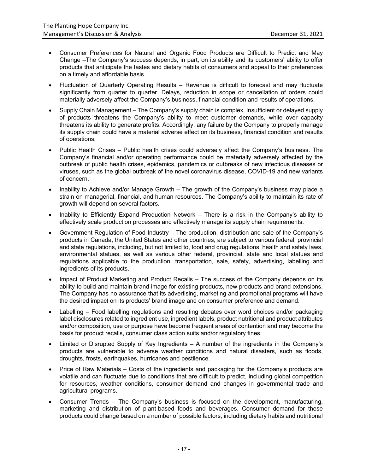- Consumer Preferences for Natural and Organic Food Products are Difficult to Predict and May Change –The Company's success depends, in part, on its ability and its customers' ability to offer products that anticipate the tastes and dietary habits of consumers and appeal to their preferences on a timely and affordable basis.
- Fluctuation of Quarterly Operating Results Revenue is difficult to forecast and may fluctuate significantly from quarter to quarter. Delays, reduction in scope or cancellation of orders could materially adversely affect the Company's business, financial condition and results of operations.
- Supply Chain Management The Company's supply chain is complex. Insufficient or delayed supply of products threatens the Company's ability to meet customer demands, while over capacity threatens its ability to generate profits. Accordingly, any failure by the Company to properly manage its supply chain could have a material adverse effect on its business, financial condition and results of operations.
- Public Health Crises Public health crises could adversely affect the Company's business. The Company's financial and/or operating performance could be materially adversely affected by the outbreak of public health crises, epidemics, pandemics or outbreaks of new infectious diseases or viruses, such as the global outbreak of the novel coronavirus disease, COVID-19 and new variants of concern.
- Inability to Achieve and/or Manage Growth The growth of the Company's business may place a strain on managerial, financial, and human resources. The Company's ability to maintain its rate of growth will depend on several factors.
- Inability to Efficiently Expand Production Network There is a risk in the Company's ability to effectively scale production processes and effectively manage its supply chain requirements.
- Government Regulation of Food Industry The production, distribution and sale of the Company's products in Canada, the United States and other countries, are subject to various federal, provincial and state regulations, including, but not limited to, food and drug regulations, health and safety laws, environmental statues, as well as various other federal, provincial, state and local statues and regulations applicable to the production, transportation, sale, safety, advertising, labelling and ingredients of its products.
- Impact of Product Marketing and Product Recalls The success of the Company depends on its ability to build and maintain brand image for existing products, new products and brand extensions. The Company has no assurance that its advertising, marketing and promotional programs will have the desired impact on its products' brand image and on consumer preference and demand.
- Labelling Food labelling regulations and resulting debates over word choices and/or packaging label disclosures related to ingredient use, ingredient labels, product nutritional and product attributes and/or composition, use or purpose have become frequent areas of contention and may become the basis for product recalls, consumer class action suits and/or regulatory fines.
- Limited or Disrupted Supply of Key Ingredients A number of the ingredients in the Company's products are vulnerable to adverse weather conditions and natural disasters, such as floods, droughts, frosts, earthquakes, hurricanes and pestilence.
- Price of Raw Materials Costs of the ingredients and packaging for the Company's products are volatile and can fluctuate due to conditions that are difficult to predict, including global competition for resources, weather conditions, consumer demand and changes in governmental trade and agricultural programs.
- Consumer Trends The Company's business is focused on the development, manufacturing, marketing and distribution of plant-based foods and beverages. Consumer demand for these products could change based on a number of possible factors, including dietary habits and nutritional